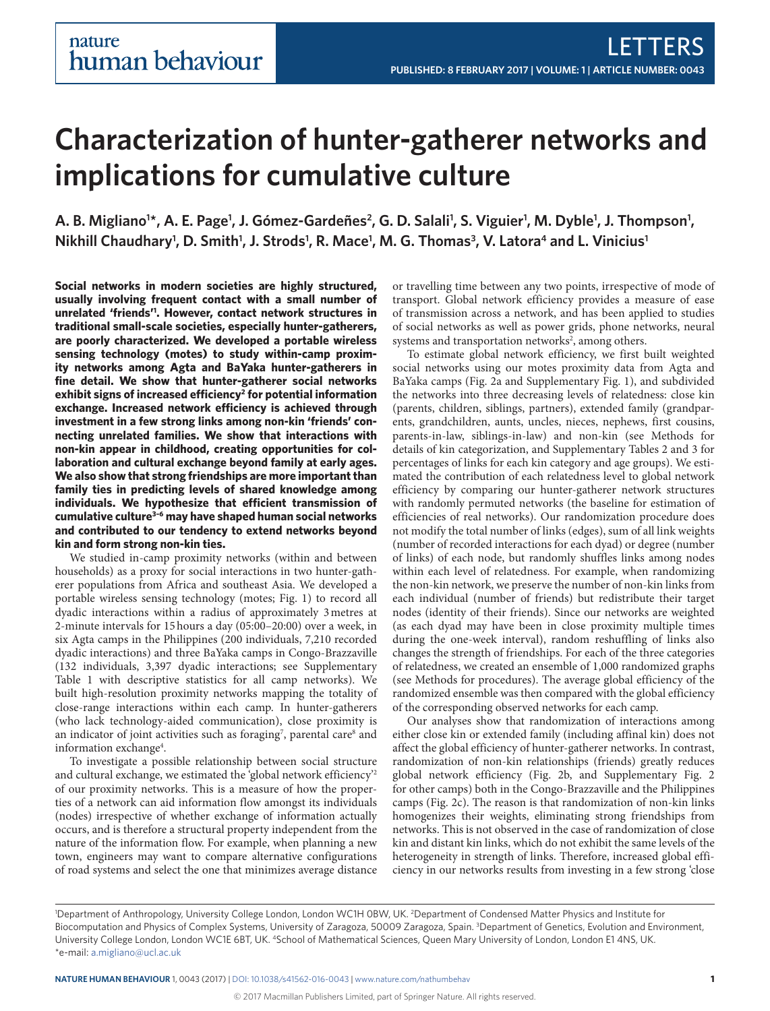# **Characterization of hunter-gatherer networks and implications for cumulative culture**

A. B. Migliano<sup>1</sup>\*, A. E. Page<sup>1</sup>, J. Gómez-Gardeñes<sup>2</sup>, G. D. Salali<sup>1</sup>, S. Viguier<sup>1</sup>, M. Dyble<sup>1</sup>, J. Thompson<sup>1</sup>, **Nikhill Chaudhary<sup>1</sup>, D. Smith<sup>1</sup>, J. Strods<sup>1</sup>, R. Mace<sup>1</sup>, M. G. Thomas<sup>3</sup>, V. Latora<sup>4</sup> and L. Vinicius<sup>1</sup>** 

**Social networks in modern societies are highly structured, usually involving frequent contact with a small number of unrelated 'friends'[1](#page-5-0) . However, contact network structures in traditional small-scale societies, especially hunter-gatherers, are poorly characterized. We developed a portable wireless sensing technology (motes) to study within-camp proximity networks among Agta and BaYaka hunter-gatherers in fine detail. We show that hunter-gatherer social networks exhibit signs of increased efficiency[2](#page-5-1) for potential information exchange. Increased network efficiency is achieved through investment in a few strong links among non-kin 'friends' connecting unrelated families. We show that interactions with non-kin appear in childhood, creating opportunities for collaboration and cultural exchange beyond family at early ages. We also show that strong friendships are more important than family ties in predicting levels of shared knowledge among individuals. We hypothesize that efficient transmission of cumulative culture[3–6](#page-5-2) may have shaped human social networks and contributed to our tendency to extend networks beyond kin and form strong non-kin ties.**

We studied in-camp proximity networks (within and between households) as a proxy for social interactions in two hunter-gatherer populations from Africa and southeast Asia. We developed a portable wireless sensing technology (motes; [Fig. 1\)](#page-1-0) to record all dyadic interactions within a radius of approximately 3metres at 2-minute intervals for 15hours a day (05:00–20:00) over a week, in six Agta camps in the Philippines (200 individuals, 7,210 recorded dyadic interactions) and three BaYaka camps in Congo-Brazzaville (132 individuals, 3,397 dyadic interactions; see Supplementary Table 1 with descriptive statistics for all camp networks). We built high-resolution proximity networks mapping the totality of close-range interactions within each camp. In hunter-gatherers (who lack technology-aided communication), close proximity is an indicator of joint activities such as foraging<sup>[7](#page-5-3)</sup>, parental care<sup>8</sup> and information exchange<sup>[4](#page-5-5)</sup>.

To investigate a possible relationship between social structure and cultural exchange, we estimated the 'global network efficiency['2](#page-5-1) of our proximity networks. This is a measure of how the properties of a network can aid information flow amongst its individuals (nodes) irrespective of whether exchange of information actually occurs, and is therefore a structural property independent from the nature of the information flow. For example, when planning a new town, engineers may want to compare alternative configurations of road systems and select the one that minimizes average distance or travelling time between any two points, irrespective of mode of transport. Global network efficiency provides a measure of ease of transmission across a network, and has been applied to studies of social networks as well as power grids, phone networks, neural systems and transportation networks<sup>[2](#page-5-1)</sup>, among others.

To estimate global network efficiency, we first built weighted social networks using our motes proximity data from Agta and BaYaka camps [\(Fig. 2a](#page-1-1) and Supplementary Fig. 1), and subdivided the networks into three decreasing levels of relatedness: close kin (parents, children, siblings, partners), extended family (grandparents, grandchildren, aunts, uncles, nieces, nephews, first cousins, parents-in-law, siblings-in-law) and non-kin (see Methods for details of kin categorization, and Supplementary Tables 2 and 3 for percentages of links for each kin category and age groups). We estimated the contribution of each relatedness level to global network efficiency by comparing our hunter-gatherer network structures with randomly permuted networks (the baseline for estimation of efficiencies of real networks). Our randomization procedure does not modify the total number of links (edges), sum of all link weights (number of recorded interactions for each dyad) or degree (number of links) of each node, but randomly shuffles links among nodes within each level of relatedness. For example, when randomizing the non-kin network, we preserve the number of non-kin links from each individual (number of friends) but redistribute their target nodes (identity of their friends). Since our networks are weighted (as each dyad may have been in close proximity multiple times during the one-week interval), random reshuffling of links also changes the strength of friendships. For each of the three categories of relatedness, we created an ensemble of 1,000 randomized graphs (see Methods for procedures). The average global efficiency of the randomized ensemble was then compared with the global efficiency of the corresponding observed networks for each camp.

Our analyses show that randomization of interactions among either close kin or extended family (including affinal kin) does not affect the global efficiency of hunter-gatherer networks. In contrast, randomization of non-kin relationships (friends) greatly reduces global network efficiency [\(Fig. 2b,](#page-1-1) and Supplementary Fig. 2 for other camps) both in the Congo-Brazzaville and the Philippines camps ([Fig. 2c\)](#page-1-1). The reason is that randomization of non-kin links homogenizes their weights, eliminating strong friendships from networks. This is not observed in the case of randomization of close kin and distant kin links, which do not exhibit the same levels of the heterogeneity in strength of links. Therefore, increased global efficiency in our networks results from investing in a few strong 'close

<sup>&</sup>lt;sup>1</sup>Department of Anthropology, University College London, London WC1H 0BW, UK. <sup>2</sup>Department of Condensed Matter Physics and Institute for Biocomputation and Physics of Complex Systems, University of Zaragoza, 50009 Zaragoza, Spain. 3 Department of Genetics, Evolution and Environment, University College London, London WC1E 6BT, UK. 4School of Mathematical Sciences, Queen Mary University of London, London E1 4NS, UK. \*e-mail: [a.migliano@ucl.ac.uk](mailto:a.migliano@ucl.ac.uk)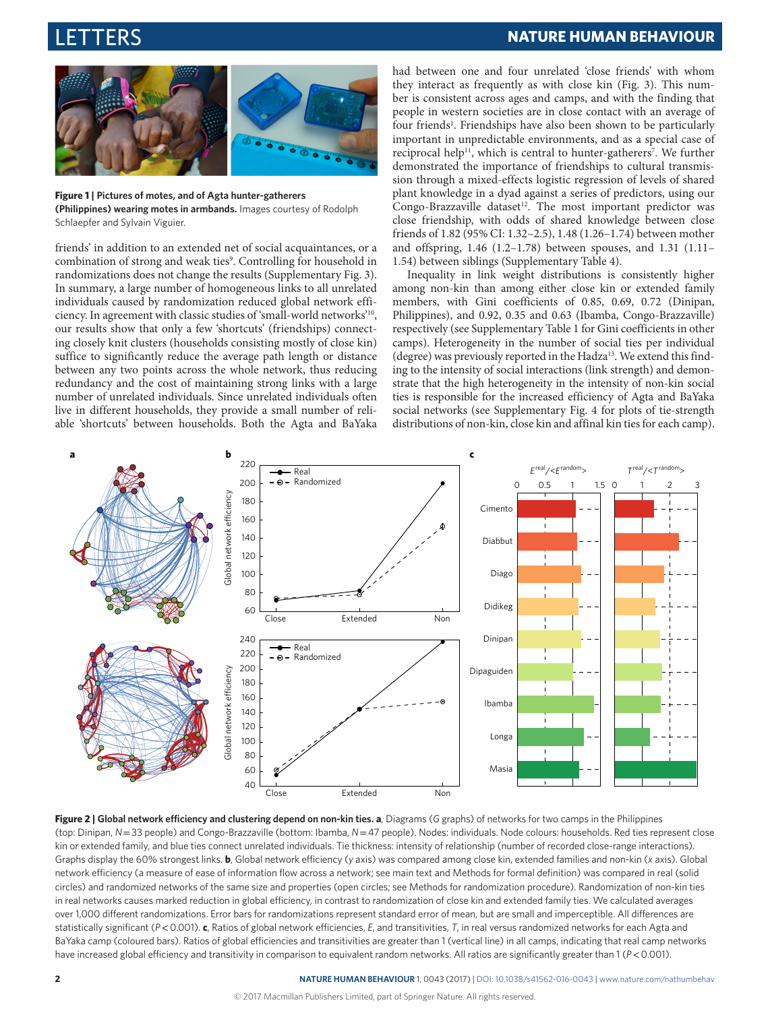# **NATURE HUMAN BEHAVIOUR**



**Figure 1 | Pictures of motes, and of Agta hunter-gatherers (Philippines) wearing motes in armbands.** Images courtesy of Rodolph Schlaepfer and Sylvain Viguier.

<span id="page-1-0"></span>friends' in addition to an extended net of social acquaintances, or a combination of strong and weak ties<sup>[9](#page-5-6)</sup>. Controlling for household in randomizations does not change the results (Supplementary Fig. 3). In summary, a large number of homogeneous links to all unrelated individuals caused by randomization reduced global network efficiency. In agreement with classic studies of 'small-world networks['10,](#page-5-7) our results show that only a few 'shortcuts' (friendships) connecting closely knit clusters (households consisting mostly of close kin) suffice to significantly reduce the average path length or distance between any two points across the whole network, thus reducing redundancy and the cost of maintaining strong links with a large number of unrelated individuals. Since unrelated individuals often live in different households, they provide a small number of reliable 'shortcuts' between households. Both the Agta and BaYaka

had between one and four unrelated 'close friends' with whom they interact as frequently as with close kin ([Fig. 3\)](#page-2-0). This number is consistent across ages and camps, and with the finding that people in western societies are in close contact with an average of four friends<sup>1</sup>. Friendships have also been shown to be particularly important in unpredictable environments, and as a special case of reciprocal help<sup>11</sup>, which is central to hunter-gatherers<sup>7</sup>. We further demonstrated the importance of friendships to cultural transmission through a mixed-effects logistic regression of levels of shared plant knowledge in a dyad against a series of predictors, using our Congo-Brazzaville dataset<sup>[12](#page-5-9)</sup>. The most important predictor was close friendship, with odds of shared knowledge between close friends of 1.82 (95% CI: 1.32–2.5), 1.48 (1.26–1.74) between mother and offspring, 1.46 (1.2–1.78) between spouses, and 1.31 (1.11– 1.54) between siblings (Supplementary Table 4).

Inequality in link weight distributions is consistently higher among non-kin than among either close kin or extended family members, with Gini coefficients of 0.85, 0.69, 0.72 (Dinipan, Philippines), and 0.92, 0.35 and 0.63 (Ibamba, Congo-Brazzaville) respectively (see Supplementary Table 1 for Gini coefficients in other camps). Heterogeneity in the number of social ties per individual (degree) was previously reported in the Hadz[a13](#page-5-10). We extend this finding to the intensity of social interactions (link strength) and demonstrate that the high heterogeneity in the intensity of non-kin social ties is responsible for the increased efficiency of Agta and BaYaka social networks (see Supplementary Fig. 4 for plots of tie-strength distributions of non-kin, close kin and affinal kin ties for each camp).



<span id="page-1-1"></span>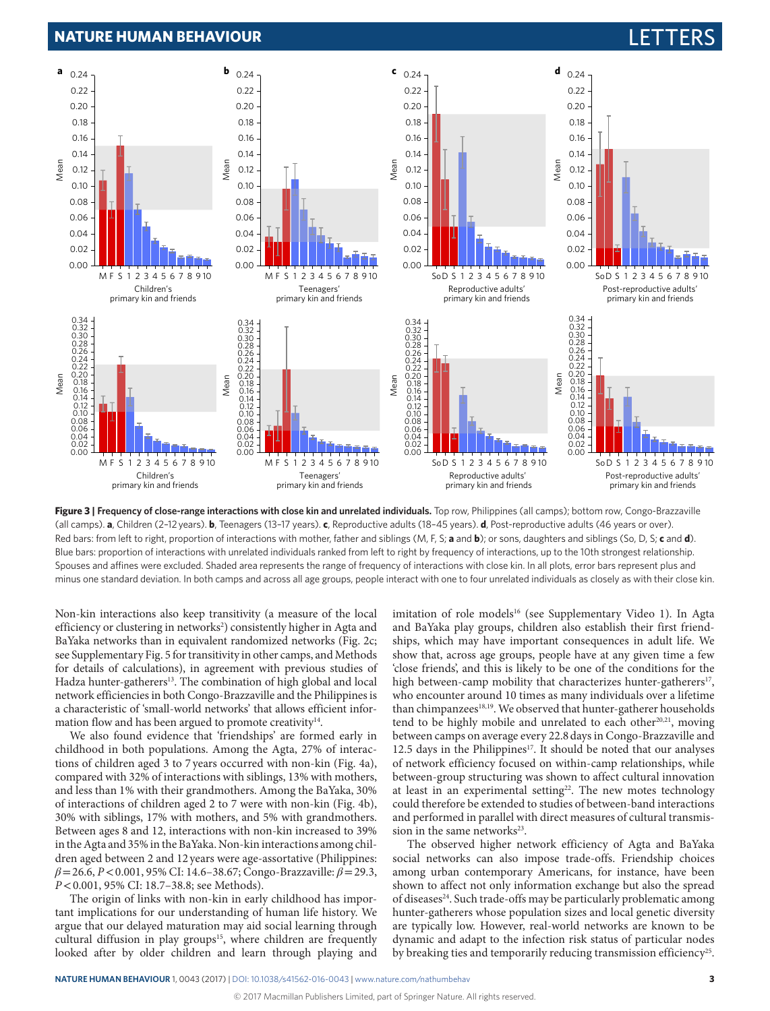# **NATURE HUMAN BEHAVIOUR**



<span id="page-2-0"></span>**Figure 3 | Frequency of close-range interactions with close kin and unrelated individuals.** Top row, Philippines (all camps); bottom row, Congo-Brazzaville (all camps). **a**, Children (2–12 years). **b**, Teenagers (13–17 years). **c**, Reproductive adults (18–45 years). **d**, Post-reproductive adults (46 years or over). Red bars: from left to right, proportion of interactions with mother, father and siblings (M, F, S; **a** and **b**); or sons, daughters and siblings (So, D, S; **c** and **d**). Blue bars: proportion of interactions with unrelated individuals ranked from left to right by frequency of interactions, up to the 10th strongest relationship. Spouses and affines were excluded. Shaded area represents the range of frequency of interactions with close kin. In all plots, error bars represent plus and minus one standard deviation. In both camps and across all age groups, people interact with one to four unrelated individuals as closely as with their close kin.

Non-kin interactions also keep transitivity (a measure of the local efficiency or clustering in networks<sup>[2](#page-5-1)</sup>) consistently higher in Agta and BaYaka networks than in equivalent randomized networks [\(Fig. 2c;](#page-1-1) see Supplementary Fig. 5 for transitivity in other camps, and Methods for details of calculations), in agreement with previous studies of Hadza hunter-gatherers<sup>13</sup>. The combination of high global and local network efficiencies in both Congo-Brazzaville and the Philippines is a characteristic of 'small-world networks' that allows efficient information flow and has been argued to promote creativity<sup>14</sup>.

We also found evidence that 'friendships' are formed early in childhood in both populations. Among the Agta, 27% of interactions of children aged 3 to 7 years occurred with non-kin [\(Fig. 4a](#page-3-0)), compared with 32% of interactions with siblings, 13% with mothers, and less than 1% with their grandmothers. Among the BaYaka, 30% of interactions of children aged 2 to 7 were with non-kin ([Fig. 4b](#page-3-0)), 30% with siblings, 17% with mothers, and 5% with grandmothers. Between ages 8 and 12, interactions with non-kin increased to 39% in the Agta and 35% in the BaYaka. Non-kin interactions among children aged between 2 and 12 years were age-assortative (Philippines: *β*=26.6, *P*<0.001, 95% CI: 14.6–38.67; Congo-Brazzaville: *β*=29.3, *P*<0.001, 95% CI: 18.7–38.8; see Methods).

The origin of links with non-kin in early childhood has important implications for our understanding of human life history. We argue that our delayed maturation may aid social learning through cultural diffusion in play groups<sup>15</sup>, where children are frequently looked after by older children and learn through playing and

imitation of role models<sup>16</sup> (see Supplementary Video 1). In Agta and BaYaka play groups, children also establish their first friendships, which may have important consequences in adult life. We show that, across age groups, people have at any given time a few 'close friends', and this is likely to be one of the conditions for the high between-camp mobility that characterizes hunter-gatherers<sup>17</sup>, who encounter around 10 times as many individuals over a lifetime than chimpanzees<sup>18,19</sup>. We observed that hunter-gatherer households tend to be highly mobile and unrelated to each other<sup>20,[21](#page-5-18)</sup>, moving between camps on average every 22.8days in Congo-Brazzaville and 12.5 days in the Philippines<sup>17</sup>. It should be noted that our analyses of network efficiency focused on within-camp relationships, while between-group structuring was shown to affect cultural innovation at least in an experimental setting<sup>22</sup>. The new motes technology could therefore be extended to studies of between-band interactions and performed in parallel with direct measures of cultural transmission in the same networks<sup>23</sup>.

The observed higher network efficiency of Agta and BaYaka social networks can also impose trade-offs. Friendship choices among urban contemporary Americans, for instance, have been shown to affect not only information exchange but also the spread of diseases<sup>24</sup>. Such trade-offs may be particularly problematic among hunter-gatherers whose population sizes and local genetic diversity are typically low. However, real-world networks are known to be dynamic and adapt to the infection risk status of particular nodes by breaking ties and temporarily reducing transmission efficiency<sup>25</sup>.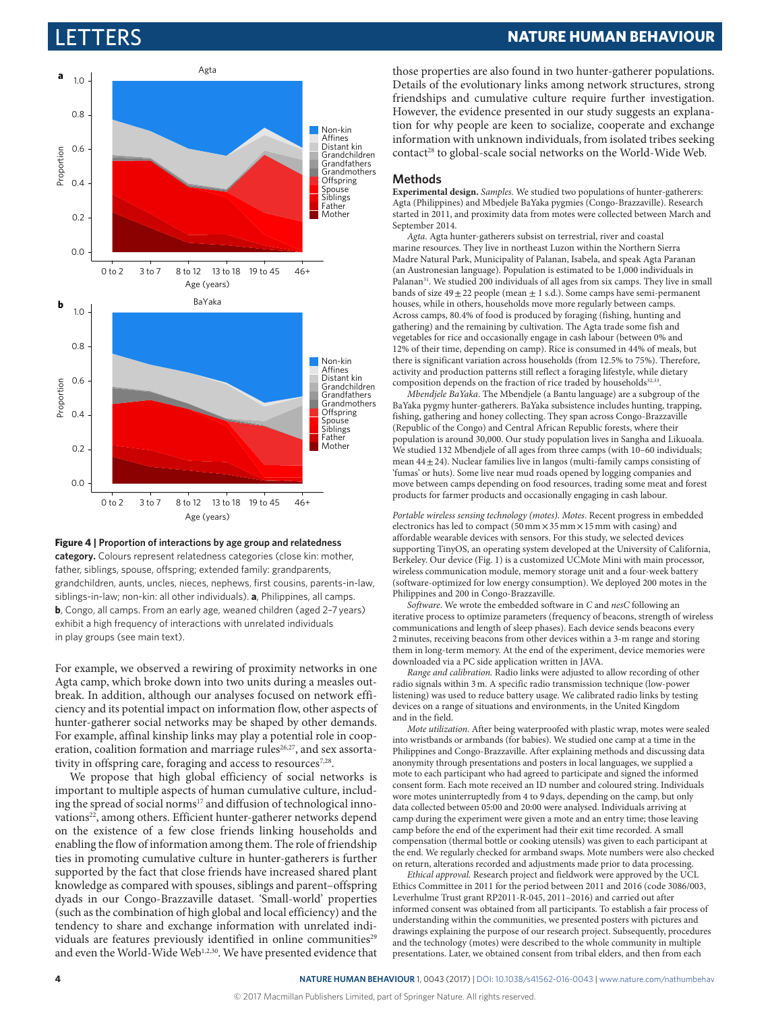# Age (years) Proportion 0.0  $0.2$ 0.4 0.6 0.8 1.0 0 to 2 3 to 7 8 to 12 13 to 18 19 to 45 46+ Non-kin<br>Affines Affines<br>Distant kin Grandchildren Grandfathers Grandmothers Offspring<br>Spouse Siblings<br>Father Mother **b a** Age (years) Proportion  $0.0$ 0.2 0.4 0.6 0.8 1.0 0 to 2 3 to 7 8 to 12 13 to 18 19 to 45 46+ Non-kin Affines<br>Distant kin Grandchildren Grandfathers **Grandmothers** Offspring Spouse<br>Siblings<br>Father Mother BaYaka Agta

### <span id="page-3-0"></span>**Figure 4 | Proportion of interactions by age group and relatedness**

**category.** Colours represent relatedness categories (close kin: mother, father, siblings, spouse, offspring; extended family: grandparents, grandchildren, aunts, uncles, nieces, nephews, first cousins, parents-in-law, siblings-in-law; non-kin: all other individuals). **a**, Philippines, all camps. **b**, Congo, all camps. From an early age, weaned children (aged 2-7 years) exhibit a high frequency of interactions with unrelated individuals in play groups (see main text).

For example, we observed a rewiring of proximity networks in one Agta camp, which broke down into two units during a measles outbreak. In addition, although our analyses focused on network efficiency and its potential impact on information flow, other aspects of hunter-gatherer social networks may be shaped by other demands. For example, affinal kinship links may play a potential role in coop-eration, coalition formation and marriage rules<sup>[26](#page-5-27)[,27](#page-5-28)</sup>, and sex assorta-tivity in offspring care, foraging and access to resources<sup>7[,28](#page-5-23)</sup>.

We propose that high global efficiency of social networks is important to multiple aspects of human cumulative culture, including the spread of social norms<sup>17</sup> and diffusion of technological innovations<sup>22</sup>, among others. Efficient hunter-gatherer networks depend on the existence of a few close friends linking households and enabling the flow of information among them. The role of friendship ties in promoting cumulative culture in hunter-gatherers is further supported by the fact that close friends have increased shared plant knowledge as compared with spouses, siblings and parent–offspring dyads in our Congo-Brazzaville dataset. 'Small-world' properties (such as the combination of high global and local efficiency) and the tendency to share and exchange information with unrelated individuals are features previously identified in online communities<sup>29</sup> and even the World-Wide Web<sup>[1](#page-5-0),[2](#page-5-1),30</sup>. We have presented evidence that

# **NATURE HUMAN BEHAVIOUR**

those properties are also found in two hunter-gatherer populations. Details of the evolutionary links among network structures, strong friendships and cumulative culture require further investigation. However, the evidence presented in our study suggests an explanation for why people are keen to socialize, cooperate and exchange information with unknown individuals, from isolated tribes seeking contact<sup>[28](#page-5-23)</sup> to global-scale social networks on the World-Wide Web.

### **Methods**

**Experimental design.** *Samples.* We studied two populations of hunter-gatherers: Agta (Philippines) and Mbedjele BaYaka pygmies (Congo-Brazzaville). Research started in 2011, and proximity data from motes were collected between March and September 2014.

*Agta.* Agta hunter-gatherers subsist on terrestrial, river and coastal marine resources. They live in northeast Luzon within the Northern Sierra Madre Natural Park, Municipality of Palanan, Isabela, and speak Agta Paranan (an Austronesian language). Population is estimated to be 1,000 individuals in Palanan<sup>31</sup>. We studied 200 individuals of all ages from six camps. They live in small bands of size  $49 \pm 22$  people (mean  $\pm 1$  s.d.). Some camps have semi-permanent houses, while in others, households move more regularly between camps. Across camps, 80.4% of food is produced by foraging (fishing, hunting and gathering) and the remaining by cultivation. The Agta trade some fish and vegetables for rice and occasionally engage in cash labour (between 0% and 12% of their time, depending on camp). Rice is consumed in 44% of meals, but there is significant variation across households (from 12.5% to 75%). Therefore, activity and production patterns still reflect a foraging lifestyle, while dietary composition depends on the fraction of rice traded by households<sup>[32,](#page-5-25)33</sup>.

*Mbendjele BaYaka*. The Mbendjele (a Bantu language) are a subgroup of the BaYaka pygmy hunter-gatherers. BaYaka subsistence includes hunting, trapping, fishing, gathering and honey collecting. They span across Congo-Brazzaville (Republic of the Congo) and Central African Republic forests, where their population is around 30,000. Our study population lives in Sangha and Likuoala. We studied 132 Mbendjele of all ages from three camps (with 10–60 individuals; mean  $44 \pm 24$ ). Nuclear families live in langos (multi-family camps consisting of 'fumas' or huts). Some live near mud roads opened by logging companies and move between camps depending on food resources, trading some meat and forest products for farmer products and occasionally engaging in cash labour.

*Portable wireless sensing technology (motes). Motes*. Recent progress in embedded electronics has led to compact (50 mm  $\times$  35 mm  $\times$  15 mm with casing) and affordable wearable devices with sensors. For this study, we selected devices supporting TinyOS, an operating system developed at the University of California, Berkeley. Our device ([Fig. 1](#page-1-0)) is a customized UCMote Mini with main processor, wireless communication module, memory storage unit and a four-week battery (software-optimized for low energy consumption). We deployed 200 motes in the Philippines and 200 in Congo-Brazzaville.

*Software*. We wrote the embedded software in *C* and *nesC* following an iterative process to optimize parameters (frequency of beacons, strength of wireless communications and length of sleep phases). Each device sends beacons every 2minutes, receiving beacons from other devices within a 3-m range and storing them in long-term memory. At the end of the experiment, device memories were downloaded via a PC side application written in JAVA.

*Range and calibration.* Radio links were adjusted to allow recording of other radio signals within 3m. A specific radio transmission technique (low-power listening) was used to reduce battery usage. We calibrated radio links by testing devices on a range of situations and environments, in the United Kingdom and in the field.

*Mote utilization*. After being waterproofed with plastic wrap, motes were sealed into wristbands or armbands (for babies). We studied one camp at a time in the Philippines and Congo-Brazzaville. After explaining methods and discussing data anonymity through presentations and posters in local languages, we supplied a mote to each participant who had agreed to participate and signed the informed consent form. Each mote received an ID number and coloured string. Individuals wore motes uninterruptedly from 4 to 9days, depending on the camp, but only data collected between 05:00 and 20:00 were analysed. Individuals arriving at camp during the experiment were given a mote and an entry time; those leaving camp before the end of the experiment had their exit time recorded. A small compensation (thermal bottle or cooking utensils) was given to each participant at the end. We regularly checked for armband swaps. Mote numbers were also checked on return, alterations recorded and adjustments made prior to data processing.

*Ethical approval.* Research project and fieldwork were approved by the UCL Ethics Committee in 2011 for the period between 2011 and 2016 (code 3086/003, Leverhulme Trust grant RP2011-R-045, 2011–2016) and carried out after informed consent was obtained from all participants. To establish a fair process of understanding within the communities, we presented posters with pictures and drawings explaining the purpose of our research project. Subsequently, procedures and the technology (motes) were described to the whole community in multiple presentations. Later, we obtained consent from tribal elders, and then from each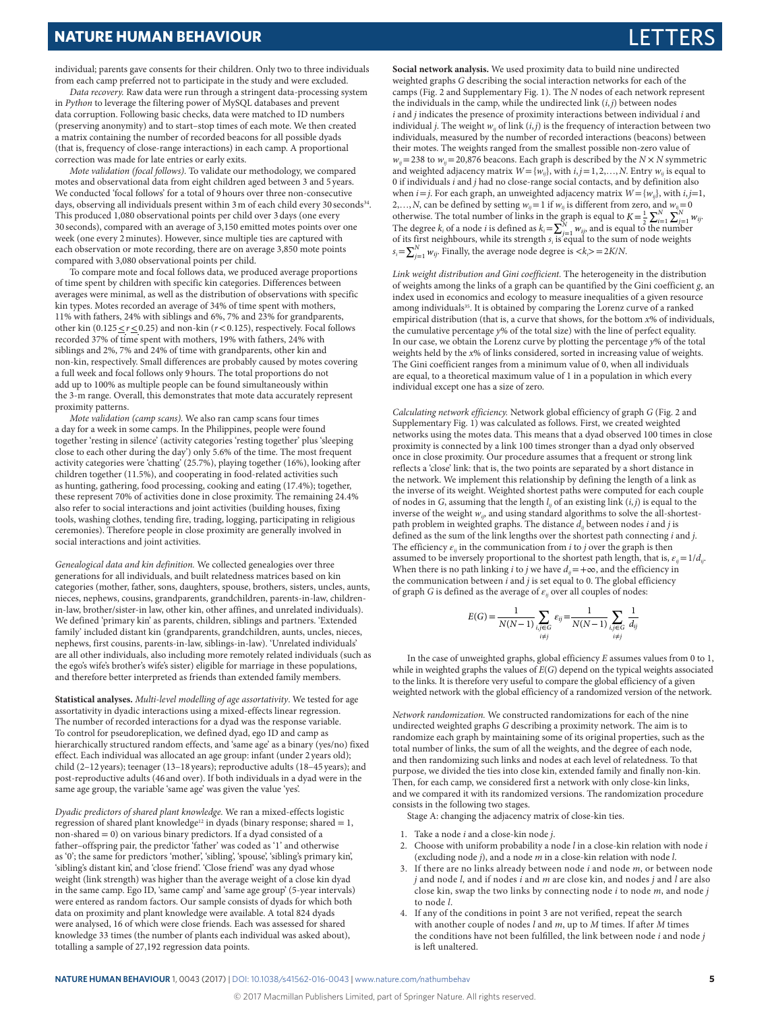# **NATURE HUMAN BEHAVIOUR**

individual; parents gave consents for their children. Only two to three individuals from each camp preferred not to participate in the study and were excluded.

*Data recovery.* Raw data were run through a stringent data-processing system in *Python* to leverage the filtering power of MySQL databases and prevent data corruption. Following basic checks, data were matched to ID numbers (preserving anonymity) and to start–stop times of each mote. We then created a matrix containing the number of recorded beacons for all possible dyads (that is, frequency of close-range interactions) in each camp. A proportional correction was made for late entries or early exits.

*Mote validation (focal follows)*. To validate our methodology, we compared motes and observational data from eight children aged between 3 and 5 years. We conducted 'focal follows' for a total of 9hours over three non-consecutive days, observing all individuals present within 3 m of each child every 30 seconds<sup>34</sup>. This produced 1,080 observational points per child over 3days (one every 30 seconds), compared with an average of 3,150 emitted motes points over one week (one every 2minutes). However, since multiple ties are captured with each observation or mote recording, there are on average 3,850 mote points compared with 3,080 observational points per child.

To compare mote and focal follows data, we produced average proportions of time spent by children with specific kin categories. Differences between averages were minimal, as well as the distribution of observations with specific kin types. Motes recorded an average of 34% of time spent with mothers, 11% with fathers, 24% with siblings and 6%, 7% and 23% for grandparents, other kin (0.125 $\leq$ r $\leq$ 0.25) and non-kin (*r*<0.125), respectively. Focal follows recorded 37% of time spent with mothers, 19% with fathers, 24% with siblings and 2%, 7% and 24% of time with grandparents, other kin and non-kin, respectively. Small differences are probably caused by motes covering a full week and focal follows only 9hours. The total proportions do not add up to 100% as multiple people can be found simultaneously within the 3-m range. Overall, this demonstrates that mote data accurately represent proximity patterns.

*Mote validation (camp scans).* We also ran camp scans four times a day for a week in some camps. In the Philippines, people were found together 'resting in silence' (activity categories 'resting together' plus 'sleeping close to each other during the day') only 5.6% of the time. The most frequent activity categories were 'chatting' (25.7%), playing together (16%), looking after children together (11.5%), and cooperating in food-related activities such as hunting, gathering, food processing, cooking and eating (17.4%); together, these represent 70% of activities done in close proximity. The remaining 24.4% also refer to social interactions and joint activities (building houses, fixing tools, washing clothes, tending fire, trading, logging, participating in religious ceremonies). Therefore people in close proximity are generally involved in social interactions and joint activities.

*Genealogical data and kin definition.* We collected genealogies over three generations for all individuals, and built relatedness matrices based on kin categories (mother, father, sons, daughters, spouse, brothers, sisters, uncles, aunts, nieces, nephews, cousins, grandparents, grandchildren, parents-in-law, childrenin-law, brother/sister-in law, other kin, other affines, and unrelated individuals). We defined 'primary kin' as parents, children, siblings and partners. 'Extended family' included distant kin (grandparents, grandchildren, aunts, uncles, nieces, nephews, first cousins, parents-in-law, siblings-in-law). 'Unrelated individuals' are all other individuals, also including more remotely related individuals (such as the ego's wife's brother's wife's sister) eligible for marriage in these populations, and therefore better interpreted as friends than extended family members.

**Statistical analyses.** *Multi-level modelling of age assortativity*. We tested for age assortativity in dyadic interactions using a mixed-effects linear regression. The number of recorded interactions for a dyad was the response variable. To control for pseudoreplication, we defined dyad, ego ID and camp as hierarchically structured random effects, and 'same age' as a binary (yes/no) fixed effect. Each individual was allocated an age group: infant (under 2 years old); child (2–12 years); teenager (13–18 years); reproductive adults (18–45 years); and post-reproductive adults (46 and over). If both individuals in a dyad were in the same age group, the variable 'same age' was given the value 'yes'.

*Dyadic predictors of shared plant knowledge.* We ran a mixed-effects logistic regression of shared plant knowledge<sup>12</sup> in dyads (binary response; shared = 1, non-shared = 0) on various binary predictors. If a dyad consisted of a father–offspring pair, the predictor 'father' was coded as '1' and otherwise as '0'; the same for predictors 'mother', 'sibling', 'spouse', 'sibling's primary kin', 'sibling's distant kin', and 'close friend'. 'Close friend' was any dyad whose weight (link strength) was higher than the average weight of a close kin dyad in the same camp. Ego ID, 'same camp' and 'same age group' (5-year intervals) were entered as random factors. Our sample consists of dyads for which both data on proximity and plant knowledge were available. A total 824 dyads were analysed, 16 of which were close friends. Each was assessed for shared knowledge 33 times (the number of plants each individual was asked about), totalling a sample of 27,192 regression data points.

**Social network analysis.** We used proximity data to build nine undirected weighted graphs *G* describing the social interaction networks for each of the camps [\(Fig. 2](#page-1-0) and Supplementary Fig. 1). The *N* nodes of each network represent the individuals in the camp, while the undirected link (*i*,*j*) between nodes *i* and *j* indicates the presence of proximity interactions between individual *i* and individual *j*. The weight  $w_{ij}$  of link  $(i, j)$  is the frequency of interaction between two individuals, measured by the number of recorded interactions (beacons) between their motes. The weights ranged from the smallest possible non-zero value of  $w_{ij}$ =238 to  $w_{ij}$ =20,876 beacons. Each graph is described by the *N* × *N* symmetric and weighted adjacency matrix  $W = \{w_{ij}\}\$ , with  $i, j = 1, 2, \ldots, N$ . Entry  $w_{ij}$  is equal to 0 if individuals *i* and *j* had no close-range social contacts, and by definition also when *i*=*j*. For each graph, an unweighted adjacency matrix  $W = \{w_{ij}\}\$ , with *i*,*j*=1, 2,..., *N*, can be defined by setting  $w_{ij} = 1$  if  $w_{ij}$  is different from zero, and  $w_{ij} = 0$  otherwise. The total number of links in the graph is equal to  $K = \frac{1}{2} \sum_{i=1}^{N} \sum_{j=1}^{N} w_{ij}$ . The degree  $k_i$  of a node  $s_i = \sum_{j=1}^{N} w_{ij}$ . Finally, the average node degree is  $\langle k_i \rangle = 2K/N$ .

*Link weight distribution and Gini coefficient.* The heterogeneity in the distribution of weights among the links of a graph can be quantified by the Gini coefficient *g*, an index used in economics and ecology to measure inequalities of a given resource among individuals<sup>35</sup>. It is obtained by comparing the Lorenz curve of a ranked empirical distribution (that is, a curve that shows, for the bottom *x*% of individuals, the cumulative percentage *y*% of the total size) with the line of perfect equality. In our case, we obtain the Lorenz curve by plotting the percentage *y*% of the total weights held by the *x*% of links considered, sorted in increasing value of weights. The Gini coefficient ranges from a minimum value of 0, when all individuals are equal, to a theoretical maximum value of 1 in a population in which every individual except one has a size of zero.

*Calculating network efficiency.* Network global efficiency of graph *G* [\(Fig.](#page-1-0) 2 and Supplementary Fig. 1) was calculated as follows. First, we created weighted networks using the motes data. This means that a dyad observed 100 times in close proximity is connected by a link 100 times stronger than a dyad only observed once in close proximity. Our procedure assumes that a frequent or strong link reflects a 'close' link: that is, the two points are separated by a short distance in the network. We implement this relationship by defining the length of a link as the inverse of its weight. Weighted shortest paths were computed for each couple of nodes in *G*, assuming that the length *lij* of an existing link (*i*,*j*) is equal to the inverse of the weight  $w_{ij}$ , and using standard algorithms to solve the all-shortestpath problem in weighted graphs. The distance  $d_{ij}$  between nodes *i* and *j* is defined as the sum of the link lengths over the shortest path connecting *i* and *j*. The efficiency  $\varepsilon_{ii}$  in the communication from *i* to *j* over the graph is then assumed to be inversely proportional to the shortest path length, that is,  $\varepsilon_{ii} = 1/d_{ii}$ . When there is no path linking *i* to *j* we have  $d_i = +\infty$ , and the efficiency in the communication between *i* and *j* is set equal to 0. The global efficiency of graph *G* is defined as the average of *εij* over all couples of nodes:

$$
E(G) = \frac{1}{N(N-1)} \sum_{\substack{i,j \in G \\ i \neq j}} \varepsilon_{ij} = \frac{1}{N(N-1)} \sum_{\substack{i,j \in G \\ i \neq j}} \frac{1}{d_{ij}}
$$

In the case of unweighted graphs, global efficiency *E* assumes values from 0 to 1, while in weighted graphs the values of *E*(*G*) depend on the typical weights associated to the links. It is therefore very useful to compare the global efficiency of a given weighted network with the global efficiency of a randomized version of the network.

*Network randomization.* We constructed randomizations for each of the nine undirected weighted graphs *G* describing a proximity network. The aim is to randomize each graph by maintaining some of its original properties, such as the total number of links, the sum of all the weights, and the degree of each node, and then randomizing such links and nodes at each level of relatedness. To that purpose, we divided the ties into close kin, extended family and finally non-kin. Then, for each camp, we considered first a network with only close-kin links, and we compared it with its randomized versions. The randomization procedure consists in the following two stages.

Stage A: changing the adjacency matrix of close-kin ties.

- 1. Take a node *i* and a close-kin node *j*.
- 2. Choose with uniform probability a node *l* in a close-kin relation with node *i* (excluding node *j*), and a node *m* in a close-kin relation with node *l*.
- 3. If there are no links already between node *i* and node *m*, or between node *j* and node *l*, and if nodes *i* and *m* are close kin, and nodes *j* and *l* are also close kin, swap the two links by connecting node *i* to node *m*, and node *j* to node *l*.
- 4. If any of the conditions in point 3 are not verified, repeat the search with another couple of nodes *l* and *m*, up to *M* times. If after *M* times the conditions have not been fulfilled, the link between node *i* and node *j* is left unaltered.